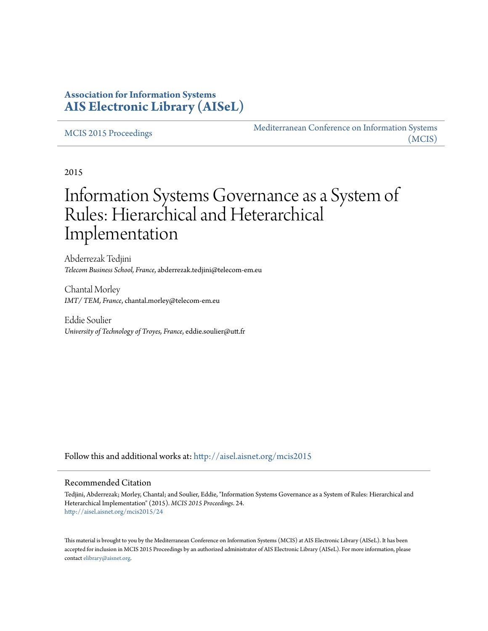# **Association for Information Systems [AIS Electronic Library \(AISeL\)](http://aisel.aisnet.org?utm_source=aisel.aisnet.org%2Fmcis2015%2F24&utm_medium=PDF&utm_campaign=PDFCoverPages)**

#### [MCIS 2015 Proceedings](http://aisel.aisnet.org/mcis2015?utm_source=aisel.aisnet.org%2Fmcis2015%2F24&utm_medium=PDF&utm_campaign=PDFCoverPages)

[Mediterranean Conference on Information Systems](http://aisel.aisnet.org/mcis?utm_source=aisel.aisnet.org%2Fmcis2015%2F24&utm_medium=PDF&utm_campaign=PDFCoverPages) [\(MCIS\)](http://aisel.aisnet.org/mcis?utm_source=aisel.aisnet.org%2Fmcis2015%2F24&utm_medium=PDF&utm_campaign=PDFCoverPages)

2015

# Information Systems Governance as a System of Rules: Hierarchical and Heterarchical Implementation

Abderrezak Tedjini *Telecom Business School, France*, abderrezak.tedjini@telecom-em.eu

Chantal Morley *IMT/ TEM, France*, chantal.morley@telecom-em.eu

Eddie Soulier *University of Technology of Troyes, France*, eddie.soulier@utt.fr

Follow this and additional works at: [http://aisel.aisnet.org/mcis2015](http://aisel.aisnet.org/mcis2015?utm_source=aisel.aisnet.org%2Fmcis2015%2F24&utm_medium=PDF&utm_campaign=PDFCoverPages)

#### Recommended Citation

Tedjini, Abderrezak; Morley, Chantal; and Soulier, Eddie, "Information Systems Governance as a System of Rules: Hierarchical and Heterarchical Implementation" (2015). *MCIS 2015 Proceedings*. 24. [http://aisel.aisnet.org/mcis2015/24](http://aisel.aisnet.org/mcis2015/24?utm_source=aisel.aisnet.org%2Fmcis2015%2F24&utm_medium=PDF&utm_campaign=PDFCoverPages)

This material is brought to you by the Mediterranean Conference on Information Systems (MCIS) at AIS Electronic Library (AISeL). It has been accepted for inclusion in MCIS 2015 Proceedings by an authorized administrator of AIS Electronic Library (AISeL). For more information, please contact [elibrary@aisnet.org.](mailto:elibrary@aisnet.org%3E)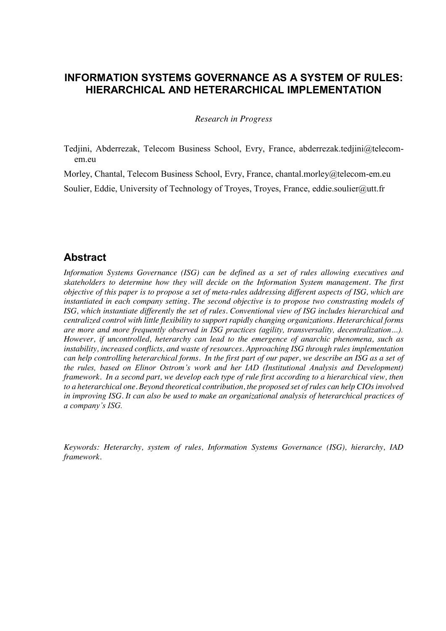# **INFORMATION SYSTEMS GOVERNANCE AS A SYSTEM OF RULES: HIERARCHICAL AND HETERARCHICAL IMPLEMENTATION**

*Research in Progress* 

Tedjini, Abderrezak, Telecom Business School, Evry, France, abderrezak.tedjini@telecomem.eu

Morley, Chantal, Telecom Business School, Evry, France, chantal.morley@telecom-em.eu

Soulier, Eddie, University of Technology of Troyes, Troyes, France, eddie.soulier@utt.fr

# **Abstract**

*Information Systems Governance (ISG) can be defined as a set of rules allowing executives and skateholders to determine how they will decide on the Information System management. The first objective of this paper is to propose a set of meta-rules addressing different aspects of ISG, which are instantiated in each company setting. The second objective is to propose two constrasting models of ISG, which instantiate differently the set of rules. Conventional view of ISG includes hierarchical and centralized control with little flexibility to support rapidly changing organizations. Heterarchical forms are more and more frequently observed in ISG practices (agility, transversality, decentralization…). However, if uncontrolled, heterarchy can lead to the emergence of anarchic phenomena, such as instability, increased conflicts, and waste of resources. Approaching ISG through rules implementation can help controlling heterarchical forms. In the first part of our paper, we describe an ISG as a set of the rules, based on Elinor Ostrom's work and her IAD (Institutional Analysis and Development) framework. In a second part, we develop each type of rule first according to a hierarchical view, then to a heterarchical one. Beyond theoretical contribution, the proposed set of rules can help CIOs involved in improving ISG. It can also be used to make an organizational analysis of heterarchical practices of a company's ISG.*

*Keywords: Heterarchy, system of rules, Information Systems Governance (ISG), hierarchy, IAD framework.*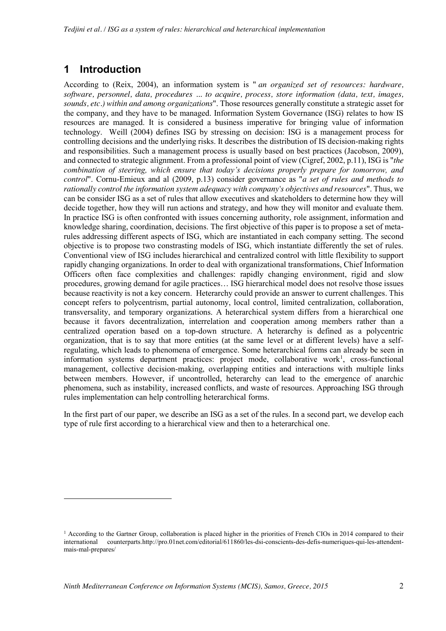# **1 Introduction**

-

According to (Reix, 2004), an information system is " *an organized set of resources: hardware, software, personnel, data, procedures ... to acquire, process, store information (data, text, images, sounds, etc.) within and among organizations*". Those resources generally constitute a strategic asset for the company, and they have to be managed. Information System Governance (ISG) relates to how IS resources are managed. It is considered a business imperative for bringing value of information technology. Weill (2004) defines ISG by stressing on decision: ISG is a management process for controlling decisions and the underlying risks. It describes the distribution of IS decision-making rights and responsibilities. Such a management process is usually based on best practices (Jacobson, 2009), and connected to strategic alignment. From a professional point of view (Cigref, 2002, p.11), ISG is "*the combination of steering, which ensure that today's decisions properly prepare for tomorrow, and control*". Cornu-Emieux and al (2009, p.13) consider governance as "*a set of rules and methods to rationally control the information system adequacy with company's objectives and resources*". Thus, we can be consider ISG as a set of rules that allow executives and skateholders to determine how they will decide together, how they will run actions and strategy, and how they will monitor and evaluate them. In practice ISG is often confronted with issues concerning authority, role assignment, information and knowledge sharing, coordination, decisions. The first objective of this paper is to propose a set of metarules addressing different aspects of ISG, which are instantiated in each company setting. The second objective is to propose two constrasting models of ISG, which instantiate differently the set of rules. Conventional view of ISG includes hierarchical and centralized control with little flexibility to support rapidly changing organizations. In order to deal with organizational transformations, Chief Information Officers often face complexities and challenges: rapidly changing environment, rigid and slow procedures, growing demand for agile practices… ISG hierarchical model does not resolve those issues because reactivity is not a key concern. Heterarchy could provide an answer to current challenges. This concept refers to polycentrism, partial autonomy, local control, limited centralization, collaboration, transversality, and temporary organizations. A heterarchical system differs from a hierarchical one because it favors decentralization, interrelation and cooperation among members rather than a centralized operation based on a top-down structure. A heterarchy is defined as a polycentric organization, that is to say that more entities (at the same level or at different levels) have a selfregulating, which leads to phenomena of emergence. Some heterarchical forms can already be seen in information systems department practices: project mode, collaborative work<sup>1</sup>, cross-functional management, collective decision-making, overlapping entities and interactions with multiple links between members. However, if uncontrolled, heterarchy can lead to the emergence of anarchic phenomena, such as instability, increased conflicts, and waste of resources. Approaching ISG through rules implementation can help controlling heterarchical forms.

In the first part of our paper, we describe an ISG as a set of the rules. In a second part, we develop each type of rule first according to a hierarchical view and then to a heterarchical one.

 $<sup>1</sup>$  According to the Gartner Group, collaboration is placed higher in the priorities of French CIOs in 2014 compared to their</sup> international counterparts.http://pro.01net.com/editorial/611860/les-dsi-conscients-des-defis-numeriques-qui-les-attendentmais-mal-prepares/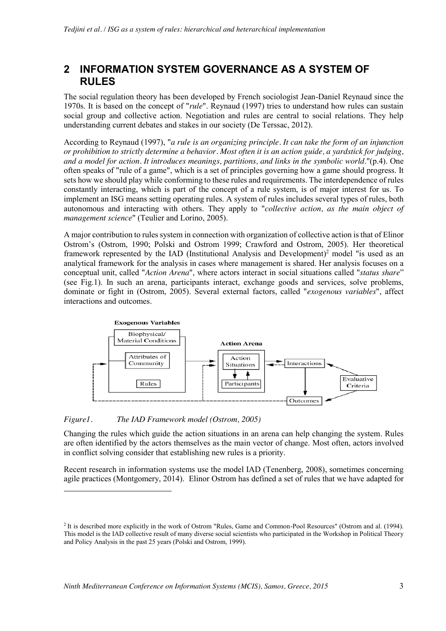# **2 INFORMATION SYSTEM GOVERNANCE AS A SYSTEM OF RULES**

The social regulation theory has been developed by French sociologist Jean-Daniel Reynaud since the 1970s. It is based on the concept of "*rule*". Reynaud (1997) tries to understand how rules can sustain social group and collective action. Negotiation and rules are central to social relations. They help understanding current debates and stakes in our society (De Terssac, 2012).

According to Reynaud (1997), "*a rule is an organizing principle. It can take the form of an injunction or prohibition to strictly determine a behavior. Most often it is an action guide, a yardstick for judging, and a model for action. It introduces meanings, partitions, and links in the symbolic world*."(p.4). One often speaks of "rule of a game", which is a set of principles governing how a game should progress. It sets how we should play while conforming to these rules and requirements. The interdependence of rules constantly interacting, which is part of the concept of a rule system, is of major interest for us. To implement an ISG means setting operating rules. A system of rules includes several types of rules, both autonomous and interacting with others. They apply to "*collective action, as the main object of management science*" (Teulier and Lorino, 2005).

A major contribution to rules system in connection with organization of collective action is that of Elinor Ostrom's (Ostrom, 1990; Polski and Ostrom 1999; Crawford and Ostrom, 2005). Her theoretical framework represented by the IAD (Institutional Analysis and Development)<sup>2</sup> model "is used as an analytical framework for the analysis in cases where management is shared. Her analysis focuses on a conceptual unit, called "*Action Arena*", where actors interact in social situations called "*status share*" (see Fig.1). In such an arena, participants interact, exchange goods and services, solve problems, dominate or fight in (Ostrom, 2005). Several external factors, called "*exogenous variables*", affect interactions and outcomes.



*Figure1. The IAD Framework model (Ostrom, 2005)*

1

Changing the rules which guide the action situations in an arena can help changing the system. Rules are often identified by the actors themselves as the main vector of change. Most often, actors involved in conflict solving consider that establishing new rules is a priority.

Recent research in information systems use the model IAD (Tenenberg, 2008), sometimes concerning agile practices (Montgomery, 2014). Elinor Ostrom has defined a set of rules that we have adapted for

<sup>2</sup> It is described more explicitly in the work of Ostrom "Rules, Game and Common-Pool Resources" (Ostrom and al. (1994). This model is the IAD collective result of many diverse social scientists who participated in the Workshop in Political Theory and Policy Analysis in the past 25 years (Polski and Ostrom, 1999).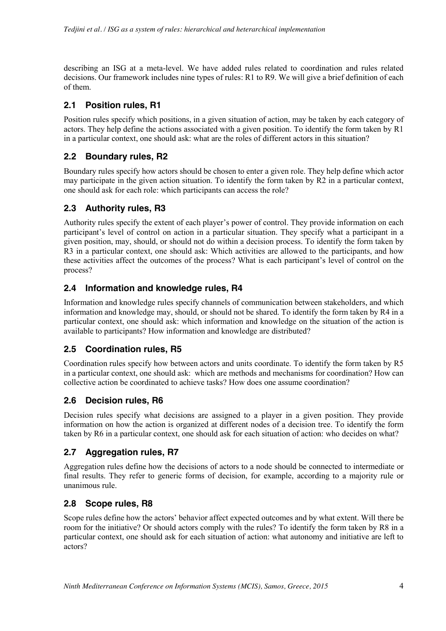describing an ISG at a meta-level. We have added rules related to coordination and rules related decisions. Our framework includes nine types of rules: R1 to R9. We will give a brief definition of each of them.

### **2.1 Position rules, R1**

Position rules specify which positions, in a given situation of action, may be taken by each category of actors. They help define the actions associated with a given position. To identify the form taken by R1 in a particular context, one should ask: what are the roles of different actors in this situation?

### **2.2 Boundary rules, R2**

Boundary rules specify how actors should be chosen to enter a given role. They help define which actor may participate in the given action situation. To identify the form taken by R2 in a particular context, one should ask for each role: which participants can access the role?

### **2.3 Authority rules, R3**

Authority rules specify the extent of each player's power of control. They provide information on each participant's level of control on action in a particular situation. They specify what a participant in a given position, may, should, or should not do within a decision process. To identify the form taken by R3 in a particular context, one should ask: Which activities are allowed to the participants, and how these activities affect the outcomes of the process? What is each participant's level of control on the process?

### **2.4 Information and knowledge rules, R4**

Information and knowledge rules specify channels of communication between stakeholders, and which information and knowledge may, should, or should not be shared. To identify the form taken by R4 in a particular context, one should ask: which information and knowledge on the situation of the action is available to participants? How information and knowledge are distributed?

# **2.5 Coordination rules, R5**

Coordination rules specify how between actors and units coordinate. To identify the form taken by R5 in a particular context, one should ask: which are methods and mechanisms for coordination? How can collective action be coordinated to achieve tasks? How does one assume coordination?

#### **2.6 Decision rules, R6**

Decision rules specify what decisions are assigned to a player in a given position. They provide information on how the action is organized at different nodes of a decision tree. To identify the form taken by R6 in a particular context, one should ask for each situation of action: who decides on what?

#### **2.7 Aggregation rules, R7**

Aggregation rules define how the decisions of actors to a node should be connected to intermediate or final results. They refer to generic forms of decision, for example, according to a majority rule or unanimous rule.

#### **2.8 Scope rules, R8**

Scope rules define how the actors' behavior affect expected outcomes and by what extent. Will there be room for the initiative? Or should actors comply with the rules? To identify the form taken by R8 in a particular context, one should ask for each situation of action: what autonomy and initiative are left to actors?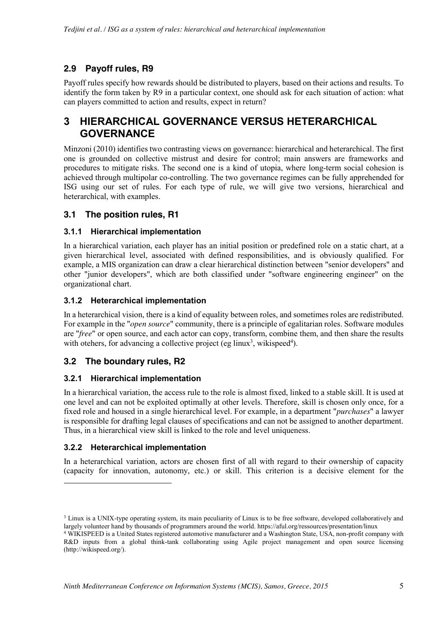# **2.9 Payoff rules, R9**

Payoff rules specify how rewards should be distributed to players, based on their actions and results. To identify the form taken by R9 in a particular context, one should ask for each situation of action: what can players committed to action and results, expect in return?

# **3 HIERARCHICAL GOVERNANCE VERSUS HETERARCHICAL GOVERNANCE**

Minzoni (2010) identifies two contrasting views on governance: hierarchical and heterarchical. The first one is grounded on collective mistrust and desire for control; main answers are frameworks and procedures to mitigate risks. The second one is a kind of utopia, where long-term social cohesion is achieved through multipolar co-controlling. The two governance regimes can be fully apprehended for ISG using our set of rules. For each type of rule, we will give two versions, hierarchical and heterarchical, with examples.

# **3.1 The position rules, R1**

#### **3.1.1 Hierarchical implementation**

In a hierarchical variation, each player has an initial position or predefined role on a static chart, at a given hierarchical level, associated with defined responsibilities, and is obviously qualified. For example, a MIS organization can draw a clear hierarchical distinction between "senior developers" and other "junior developers", which are both classified under "software engineering engineer" on the organizational chart.

#### **3.1.2 Heterarchical implementation**

In a heterarchical vision, there is a kind of equality between roles, and sometimes roles are redistributed. For example in the "*open source*" community, there is a principle of egalitarian roles. Software modules are "*free*" or open source, and each actor can copy, transform, combine them, and then share the results with otehers, for advancing a collective project (eg linux<sup>3</sup>, wikispeed<sup>4</sup>).

# **3.2 The boundary rules, R2**

#### **3.2.1 Hierarchical implementation**

In a hierarchical variation, the access rule to the role is almost fixed, linked to a stable skill. It is used at one level and can not be exploited optimally at other levels. Therefore, skill is chosen only once, for a fixed role and housed in a single hierarchical level. For example, in a department "*purchases*" a lawyer is responsible for drafting legal clauses of specifications and can not be assigned to another department. Thus, in a hierarchical view skill is linked to the role and level uniqueness.

#### **3.2.2 Heterarchical implementation**

1

In a heterarchical variation, actors are chosen first of all with regard to their ownership of capacity (capacity for innovation, autonomy, etc.) or skill. This criterion is a decisive element for the

<sup>&</sup>lt;sup>3</sup> Linux is a UNIX-type operating system, its main peculiarity of Linux is to be free software, developed collaboratively and largely volunteer hand by thousands of programmers around the world. https://aful.org/ressources/presentation/linux

<sup>4</sup> WIKISPEED is a United States registered automotive manufacturer and a Washington State, USA, non-profit company with R&D inputs from a global think-tank collaborating using Agile project management and open source licensing (http://wikispeed.org/).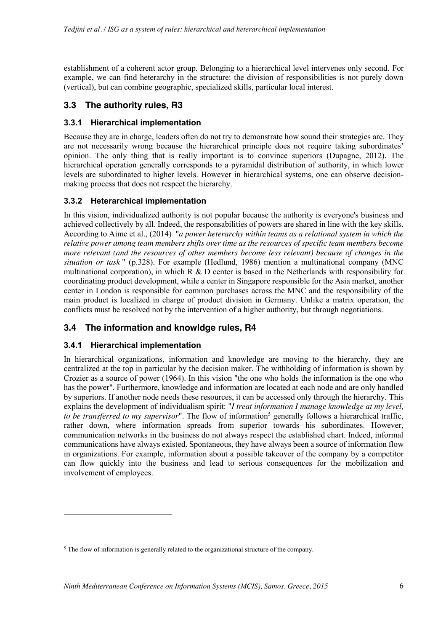establishment of a coherent actor group. Belonging to a hierarchical level intervenes only second. For example, we can find heterarchy in the structure: the division of responsibilities is not purely down (vertical), but can combine geographic, specialized skills, particular local interest.

### **3.3 The authority rules, R3**

#### **3.3.1 Hierarchical implementation**

Because they are in charge, leaders often do not try to demonstrate how sound their strategies are. They are not necessarily wrong because the hierarchical principle does not require taking subordinates' opinion. The only thing that is really important is to convince superiors (Dupagne, 2012). The hierarchical operation generally corresponds to a pyramidal distribution of authority, in which lower levels are subordinated to higher levels. However in hierarchical systems, one can observe decisionmaking process that does not respect the hierarchy.

#### **3.3.2 Heterarchical implementation**

In this vision, individualized authority is not popular because the authority is everyone's business and achieved collectively by all. Indeed, the responsabilities of powers are shared in line with the key skills. According to Aime et al., (2014) "*a power heterarchy within teams as a relational system in which the relative power among team members shifts over time as the resources of specific team members become more relevant (and the resources of other members become less relevant) because of changes in the situation or task* " (p.328). For example (Hedlund, 1986) mention a multinational company (MNC multinational corporation), in which  $R \& D$  center is based in the Netherlands with responsibility for coordinating product development, while a center in Singapore responsible for the Asia market, another center in London is responsible for common purchases across the MNC and the responsibility of the main product is localized in charge of product division in Germany. Unlike a matrix operation, the conflicts must be resolved not by the intervention of a higher authority, but through negotiations.

# **3.4 The information and knowldge rules, R4**

#### **3.4.1 Hierarchical implementation**

-

In hierarchical organizations, information and knowledge are moving to the hierarchy, they are centralized at the top in particular by the decision maker. The withholding of information is shown by Crozier as a source of power (1964). In this vision "the one who holds the information is the one who has the power". Furthermore, knowledge and information are located at each node and are only handled by superiors. If another node needs these resources, it can be accessed only through the hierarchy. This explains the development of individualism spirit: "*I treat information I manage knowledge at my level, to be transferred to my supervisor*". The flow of information<sup>5</sup> generally follows a hierarchical traffic, rather down, where information spreads from superior towards his subordinates. However, communication networks in the business do not always respect the established chart. Indeed, informal communications have always existed. Spontaneous, they have always been a source of information flow in organizations. For example, information about a possible takeover of the company by a competitor can flow quickly into the business and lead to serious consequences for the mobilization and involvement of employees.

<sup>&</sup>lt;sup>5</sup> The flow of information is generally related to the organizational structure of the company.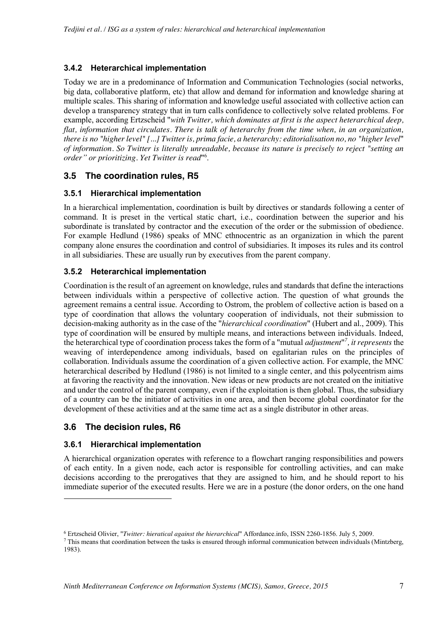#### **3.4.2 Heterarchical implementation**

Today we are in a predominance of Information and Communication Technologies (social networks, big data, collaborative platform, etc) that allow and demand for information and knowledge sharing at multiple scales. This sharing of information and knowledge useful associated with collective action can develop a transparency strategy that in turn calls confidence to collectively solve related problems. For example, according Ertzscheid "*with Twitter, which dominates at first is the aspect heterarchical deep, flat, information that circulates. There is talk of heterarchy from the time when, in an organization, there is no "higher level" [...] Twitter is, prima facie, a heterarchy: editorialisation no, no "higher level*" *of information. So Twitter is literally unreadable, because its nature is precisely to reject "setting an order" or prioritizing. Yet Twitter is read*"6 .

### **3.5 The coordination rules, R5**

#### **3.5.1 Hierarchical implementation**

In a hierarchical implementation, coordination is built by directives or standards following a center of command. It is preset in the vertical static chart, i.e., coordination between the superior and his subordinate is translated by contractor and the execution of the order or the submission of obedience. For example Hedlund (1986) speaks of MNC ethnocentric as an organization in which the parent company alone ensures the coordination and control of subsidiaries. It imposes its rules and its control in all subsidiaries. These are usually run by executives from the parent company.

#### **3.5.2 Heterarchical implementation**

Coordination is the result of an agreement on knowledge, rules and standards that define the interactions between individuals within a perspective of collective action. The question of what grounds the agreement remains a central issue. According to Ostrom, the problem of collective action is based on a type of coordination that allows the voluntary cooperation of individuals, not their submission to decision-making authority as in the case of the "*hierarchical coordination*" (Hubert and al., 2009). This type of coordination will be ensured by multiple means, and interactions between individuals. Indeed, the heterarchical type of coordination process takes the form of a "mutual *adjustment*" *7 , it represents* the weaving of interdependence among individuals, based on egalitarian rules on the principles of collaboration. Individuals assume the coordination of a given collective action. For example, the MNC heterarchical described by Hedlund (1986) is not limited to a single center, and this polycentrism aims at favoring the reactivity and the innovation. New ideas or new products are not created on the initiative and under the control of the parent company, even if the exploitation is then global. Thus, the subsidiary of a country can be the initiator of activities in one area, and then become global coordinator for the development of these activities and at the same time act as a single distributor in other areas.

#### **3.6 The decision rules, R6**

-

#### **3.6.1 Hierarchical implementation**

A hierarchical organization operates with reference to a flowchart ranging responsibilities and powers of each entity. In a given node, each actor is responsible for controlling activities, and can make decisions according to the prerogatives that they are assigned to him, and he should report to his immediate superior of the executed results. Here we are in a posture (the donor orders, on the one hand

<sup>6</sup> Ertzscheid Olivier, "*Twitter: hieratical against the hierarchical*" Affordance.info, ISSN 2260-1856. July 5, 2009.

 $7$  This means that coordination between the tasks is ensured through informal communication between individuals (Mintzberg, 1983).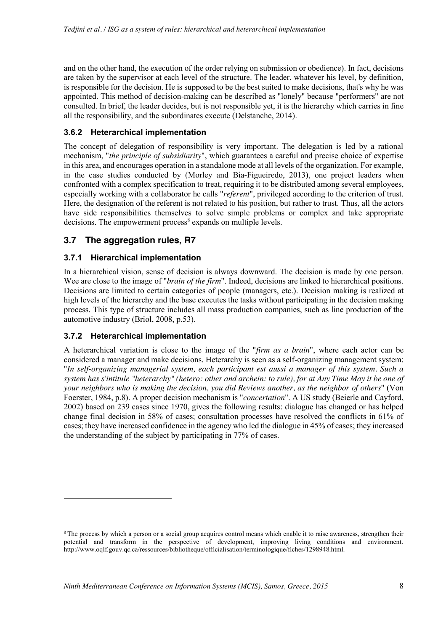and on the other hand, the execution of the order relying on submission or obedience). In fact, decisions are taken by the supervisor at each level of the structure. The leader, whatever his level, by definition, is responsible for the decision. He is supposed to be the best suited to make decisions, that's why he was appointed. This method of decision-making can be described as "lonely" because "performers" are not consulted. In brief, the leader decides, but is not responsible yet, it is the hierarchy which carries in fine all the responsibility, and the subordinates execute (Delstanche, 2014).

#### **3.6.2 Heterarchical implementation**

The concept of delegation of responsibility is very important. The delegation is led by a rational mechanism, "*the principle of subsidiarity*", which guarantees a careful and precise choice of expertise in this area, and encourages operation in a standalone mode at all levels of the organization. For example, in the case studies conducted by (Morley and Bia-Figueiredo, 2013), one project leaders when confronted with a complex specification to treat, requiring it to be distributed among several employees, especially working with a collaborator he calls "*referent*", privileged according to the criterion of trust. Here, the designation of the referent is not related to his position, but rather to trust. Thus, all the actors have side responsibilities themselves to solve simple problems or complex and take appropriate decisions. The empowerment process<sup>8</sup> expands on multiple levels.

#### **3.7 The aggregation rules, R7**

#### **3.7.1 Hierarchical implementation**

In a hierarchical vision, sense of decision is always downward. The decision is made by one person. Wee are close to the image of "*brain of the firm*". Indeed, decisions are linked to hierarchical positions. Decisions are limited to certain categories of people (managers, etc.). Decision making is realized at high levels of the hierarchy and the base executes the tasks without participating in the decision making process. This type of structure includes all mass production companies, such as line production of the automotive industry (Briol, 2008, p.53).

#### **3.7.2 Heterarchical implementation**

-

A heterarchical variation is close to the image of the "*firm as a brain*", where each actor can be considered a manager and make decisions. Heterarchy is seen as a self-organizing management system: "*In self-organizing managerial system, each participant est aussi a manager of this system. Such a system has s'intitule "heterarchy" (hetero: other and archein: to rule), for at Any Time May it be one of your neighbors who is making the decision, you did Reviews another, as the neighbor of others*" (Von Foerster, 1984, p.8). A proper decision mechanism is "*concertation*". A US study (Beierle and Cayford, 2002) based on 239 cases since 1970, gives the following results: dialogue has changed or has helped change final decision in 58% of cases; consultation processes have resolved the conflicts in 61% of cases; they have increased confidence in the agency who led the dialogue in 45% of cases; they increased the understanding of the subject by participating in 77% of cases.

<sup>&</sup>lt;sup>8</sup> The process by which a person or a social group acquires control means which enable it to raise awareness, strengthen their potential and transform in the perspective of development, improving living conditions and environment. http://www.oqlf.gouv.qc.ca/ressources/bibliotheque/officialisation/terminologique/fiches/1298948.html.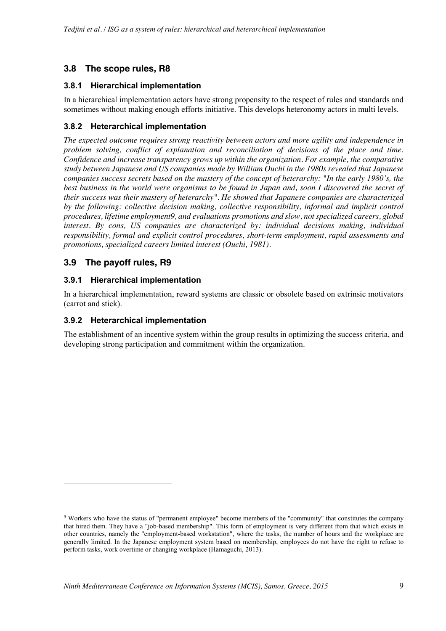# **3.8 The scope rules, R8**

#### **3.8.1 Hierarchical implementation**

In a hierarchical implementation actors have strong propensity to the respect of rules and standards and sometimes without making enough efforts initiative. This develops heteronomy actors in multi levels.

#### **3.8.2 Heterarchical implementation**

*The expected outcome requires strong reactivity between actors and more agility and independence in problem solving, conflict of explanation and reconciliation of decisions of the place and time. Confidence and increase transparency grows up within the organization. For example, the comparative study between Japanese and US companies made by William Ouchi in the 1980s revealed that Japanese companies success secrets based on the mastery of the concept of heterarchy: "In the early 1980's, the best business in the world were organisms to be found in Japan and, soon I discovered the secret of their success was their mastery of heterarchy". He showed that Japanese companies are characterized by the following: collective decision making, collective responsibility, informal and implicit control procedures, lifetime employment9, and evaluations promotions and slow, not specialized careers, global interest. By cons, US companies are characterized by: individual decisions making, individual responsibility, formal and explicit control procedures, short-term employment, rapid assessments and promotions, specialized careers limited interest (Ouchi, 1981).*

#### **3.9 The payoff rules, R9**

1

#### **3.9.1 Hierarchical implementation**

In a hierarchical implementation, reward systems are classic or obsolete based on extrinsic motivators (carrot and stick).

#### **3.9.2 Heterarchical implementation**

The establishment of an incentive system within the group results in optimizing the success criteria, and developing strong participation and commitment within the organization.

<sup>9</sup> Workers who have the status of "permanent employee" become members of the "community" that constitutes the company that hired them. They have a "job-based membership". This form of employment is very different from that which exists in other countries, namely the "employment-based workstation", where the tasks, the number of hours and the workplace are generally limited. In the Japanese employment system based on membership, employees do not have the right to refuse to perform tasks, work overtime or changing workplace (Hamaguchi, 2013).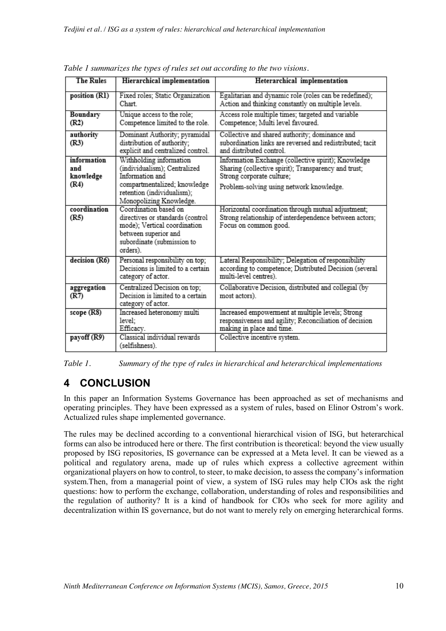| <b>The Rules</b>                | Hierarchical implementation                                                                                                                                 | Heterarchical implementation                                                                                                             |
|---------------------------------|-------------------------------------------------------------------------------------------------------------------------------------------------------------|------------------------------------------------------------------------------------------------------------------------------------------|
| position (R1)                   | Fixed roles; Static Organization<br>Chart                                                                                                                   | Egalitarian and dynamic role (roles can be redefined);<br>Action and thinking constantly on multiple levels.                             |
| Boundary<br>(R2)                | Unique access to the role;<br>Competence limited to the role.                                                                                               | Access role multiple times; targeted and variable<br>Competence; Multi level favoured.                                                   |
| authority<br>(R3)               | Dominant Authority; pyramidal<br>distribution of authority;<br>explicit and centralized control.                                                            | Collective and shared authority; dominance and<br>subordination links are reversed and redistributed; tacit<br>and distributed control.  |
| information<br>and<br>knowledge | Withholding information<br>(individualism); Centralized<br>Information and                                                                                  | Information Exchange (collective spirit); Knowledge<br>Sharing (collective spirit); Transparency and trust;<br>Strong corporate culture; |
| (R4)                            | compartmentalized; knowledge<br>retention (individualism);<br>Monopolizing Knowledge.                                                                       | Problem-solving using network knowledge.                                                                                                 |
| coordination<br>(R5)            | Coordination based on<br>directives or standards (control<br>mode); Vertical coordination<br>between superior and<br>subordinate (submission to<br>orders). | Horizontal coordination through mutual adjustment;<br>Strong relationship of interdependence between actors;<br>Focus on common good.    |
| decision (R6)                   | Personal responsibility on top;<br>Decisions is limited to a certain<br>category of actor.                                                                  | Lateral Responsibility; Delegation of responsibility<br>according to competence; Distributed Decision (several<br>multi-level centres).  |
| aggregation<br>(R7)             | Centralized Decision on top;<br>Decision is limited to a certain<br>category of actor.                                                                      | Collaborative Decision, distributed and collegial (by<br>most actors).                                                                   |
| scope $(R8)$                    | Increased heteronomy multi<br>level;<br>Efficacy.                                                                                                           | Increased empowerment at multiple levels; Strong<br>responsiveness and agility; Reconciliation of decision<br>making in place and time.  |
| payoff (R9)                     | Classical individual rewards<br>(selfishness).                                                                                                              | Collective incentive system.                                                                                                             |

*Table 1 summarizes the types of rules set out according to the two visions.*

*Table 1. Summary of the type of rules in hierarchical and heterarchical implementations*

# **4 CONCLUSION**

In this paper an Information Systems Governance has been approached as set of mechanisms and operating principles. They have been expressed as a system of rules, based on Elinor Ostrom's work. Actualized rules shape implemented governance.

The rules may be declined according to a conventional hierarchical vision of ISG, but heterarchical forms can also be introduced here or there. The first contribution is theoretical: beyond the view usually proposed by ISG repositories, IS governance can be expressed at a Meta level. It can be viewed as a political and regulatory arena, made up of rules which express a collective agreement within organizational players on how to control, to steer, to make decision, to assess the company's information system.Then, from a managerial point of view, a system of ISG rules may help CIOs ask the right questions: how to perform the exchange, collaboration, understanding of roles and responsibilities and the regulation of authority? It is a kind of handbook for CIOs who seek for more agility and decentralization within IS governance, but do not want to merely rely on emerging heterarchical forms.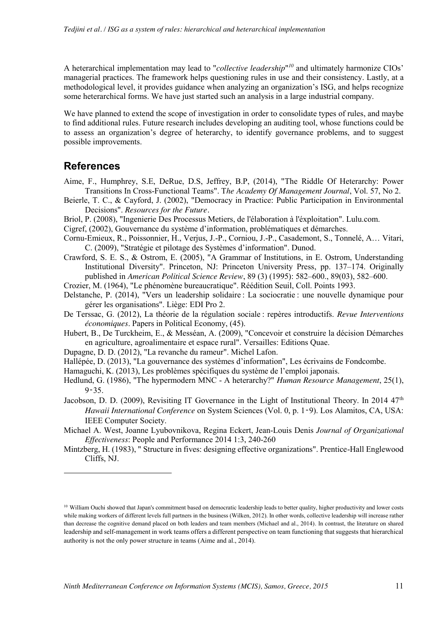A heterarchical implementation may lead to "*collective leadership*" *<sup>10</sup>* and ultimately harmonize CIOs' managerial practices. The framework helps questioning rules in use and their consistency. Lastly, at a methodological level, it provides guidance when analyzing an organization's ISG, and helps recognize some heterarchical forms. We have just started such an analysis in a large industrial company.

We have planned to extend the scope of investigation in order to consolidate types of rules, and maybe to find additional rules. Future research includes developing an auditing tool, whose functions could be to assess an organization's degree of heterarchy, to identify governance problems, and to suggest possible improvements.

# **References**

-

- Aime, F., Humphrey, S.E, DeRue, D.S, Jeffrey, B.P, (2014), "The Riddle Of Heterarchy: Power Transitions In Cross-Functional Teams". T*he Academy Of Management Journal*, Vol. 57, No 2.
- Beierle, T. C., & Cayford, J. (2002), "Democracy in Practice: Public Participation in Environmental Decisions". *Resources for the Future.*
- Briol, P. (2008), "Ingenierie Des Processus Metiers, de l'élaboration à l'éxploitation". Lulu.com.
- Cigref, (2002), Gouvernance du système d'information, problématiques et démarches.
- Cornu-Emieux, R., Poissonnier, H., Verjus, J.-P., Corniou, J.-P., Casademont, S., Tonnelé, A… Vitari, C. (2009), "Stratégie et pilotage des Systèmes d'information". Dunod.
- Crawford, S. E. S., & Ostrom, E. (2005), "A Grammar of Institutions, in E. Ostrom, Understanding Institutional Diversity". Princeton, NJ: Princeton University Press, pp. 137–174. Originally published in *American Political Science Review*, 89 (3) (1995): 582–600., 89(03), 582–600.
- Crozier, M. (1964), "Le phénomène bureaucratique". Réédition Seuil, Coll. Points 1993.
- Delstanche, P. (2014), "Vers un leadership solidaire : La sociocratie : une nouvelle dynamique pour gérer les organisations". Liège: EDI Pro 2.
- De Terssac, G. (2012), La théorie de la régulation sociale : repères introductifs. *Revue Interventions économiques*. Papers in Political Economy, (45).
- Hubert, B., De Turckheim, E., & Messéan, A. (2009), "Concevoir et construire la décision Démarches en agriculture, agroalimentaire et espace rural". Versailles: Editions Quae.
- Dupagne, D. D. (2012), "La revanche du rameur". Michel Lafon.
- Hallépée, D. (2013), "La gouvernance des systèmes d'information", Les écrivains de Fondcombe.
- Hamaguchi, K. (2013), Les problèmes spécifiques du système de l'emploi japonais.
- Hedlund, G. (1986), "The hypermodern MNC A heterarchy?" *Human Resource Management*, 25(1),  $9 - 35$ .
- Jacobson, D. D. (2009), Revisiting IT Governance in the Light of Institutional Theory. In 2014 47<sup>th</sup> *Hawaii International Conference* on System Sciences (Vol. 0, p. 1‑9). Los Alamitos, CA, USA: IEEE Computer Society.
- Michael A. West, Joanne Lyubovnikova, Regina Eckert, Jean-Louis Denis *Journal of Organizational Effectiveness*: People and Performance 2014 1:3, 240-260
- Mintzberg, H. (1983), " Structure in fives: designing effective organizations". Prentice-Hall Englewood Cliffs, NJ.

 $10$  William Ouchi showed that Japan's commitment based on democratic leadership leads to better quality, higher productivity and lower costs while making workers of different levels full partners in the business (Wilken, 2012). In other words, collective leadership will increase rather than decrease the cognitive demand placed on both leaders and team members (Michael and al., 2014). In contrast, the literature on shared leadership and self-management in work teams offers a different perspective on team functioning that suggests that hierarchical authority is not the only power structure in teams (Aime and al., 2014).